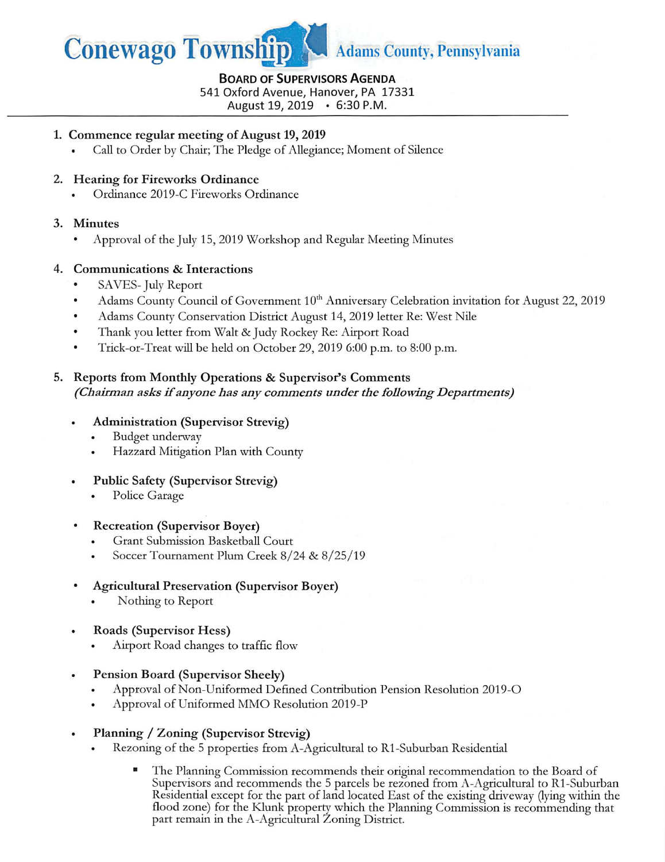

#### Board of Supervisors Agenda

541 Oxford Avenue, Hanover, PA 17331

August 19, 2019 • 6:30 P.M.

- 1. Commence regular meeting of August 19,2019
	- Call to Order by Chair; The Pledge of Allegiance; Moment of Silence

### 2. Hearing for Fireworks Ordinance

• Ordinance 2019-C Fireworks Ordinance

# 3. Minutes

• Approval of the July 15, 2019 Workshop and Regular Meeting Minutes

# 4. Communications & Interactions

- SAVES- July Report
- Adams County Council of Government 10<sup>th</sup> Anniversary Celebration invitation for August 22, 2019
- Adams County Conservation District August 14, 2019 letter Re: West Nile
- Thank you letter from Walt & Judy Rockey Re: Airport Road
- Trick-or-Treat will be held on October 29, 2019 6:00 p.m. to 8:00 p.m.

# 5. Reports from Monthly Operations & Supervisor's Comments (Chairman asks if anyone has any comments under the following Departments)

- Administration (Supervisor Strevig)
	- Budget underway
	- Hazzard Mitigation Plan with County
- Public Safety (Supervisor Strevig)
	- Police Garage
- Recreation (Supervisor Boyer)
	- Grant Submission Basketball Court
	- Soccer Tournament Plum Creek 8/24 & 8/25/19
- Agricultural Preservation (Supervisor Boyer)
	- Nothing to Report
- Roads (Supervisor Hess)
	- Airport Road changes to traffic flow
- Pension Board (Supervisor Sheely)
	- Approval of Non-Uniformed Defined Contribution Pension Resolution 2019-O
	- Approval of Uniformed MMO Resolution 2019-P
- Planning / Zoning (Supervisor Strevig)
	- Rezoning of the 5 properties from A-Agricultural to R1-Suburban Residential
		- The Planning Commission recommends their original recommendation to the Board of Supervisors and recommends the 5 parcels be rezoned from A-Agricultural to R1-Suburban Residential except for the part of land located East of the existing driveway (lying within the flood zone) for the Klunk property which the Planning Commission is recommending that part remain in the A-Agricultural Zoning District.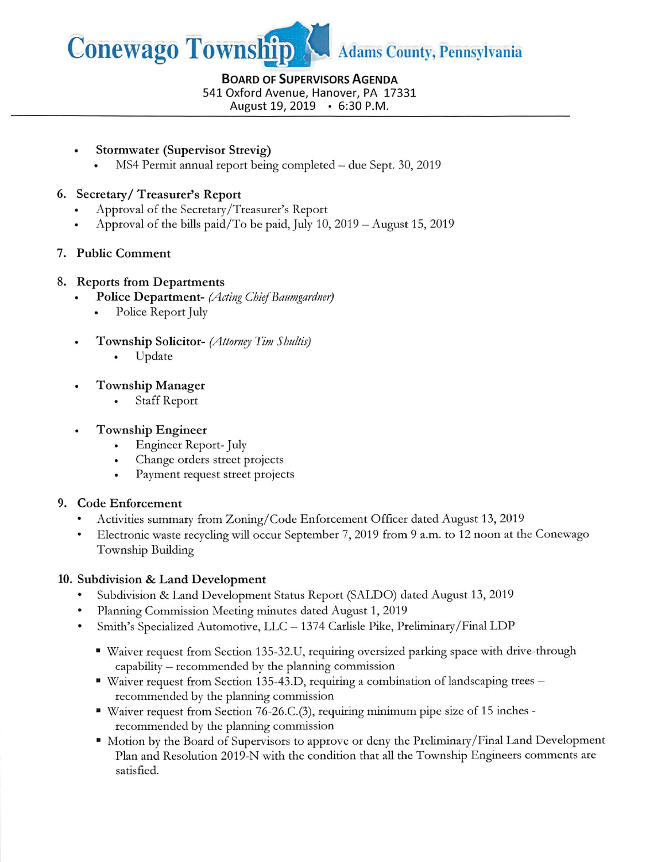

#### Board of Supervisors Agenda

541 Oxford Avenue, Hanover, PA 17331

August 19, 2019 • 6:30 P.M.

- Stormwater (Supervisor Strevig)
	- MS4 Permit annual report being completed due Sept. 30,2019

# 6. Secretary/ Treasurer's Report

- Approval of the Secretary/Treasurer's Report
- Approval of the bills paid/To be paid, July 10, 2019 August 15, 2019

# 7. Public Comment

# 8. Reports from Departments

- Police Department- (Acting Chief Baumgardner)
	- Police Report July
- Township Solicitor- (Attorney Tim Shultis)
	- Update
- Township Manager
	- Staff Report
- Township Engineer
	- Engineer Report- July
	- Change orders street projects
	- Payment request street projects

#### 9. Code Enforcement

- Activities summary from Zoning/Code Enforcement Officer dated August 13, 2019
- Electronic waste recycling will occur September 7, 2019 from 9 a.m. to 12 noon at the Conewago Township Building

# 10. Subdivision & Land Development

- Subdivision & Land Development Status Report (SALDO) dated August 13, 2019
- Planning Commission Meeting minutes dated August 1, 2019
- Smith's Specialized Automotive, LLC 1374 Carlisle Pike, Preliminary/Final LDP
	- Waiver request from Section 135-32.U, requiring oversized parking space with drive-through capability — recommended by the planning commission
	- $\blacksquare$  Waiver request from Section 135-43. D, requiring a combination of landscaping trees recommended by the planning commission
	- Waiver request from Section 76-26.C.(3), requiring minimum pipe size of 15 inches recommended by the planning commission
	- Motion by the Board of Supervisors to approve or deny the Preliminary/Final Land Development Plan and Resolution 2019-N with the condition that all the Township Engineers comments are satisfied.